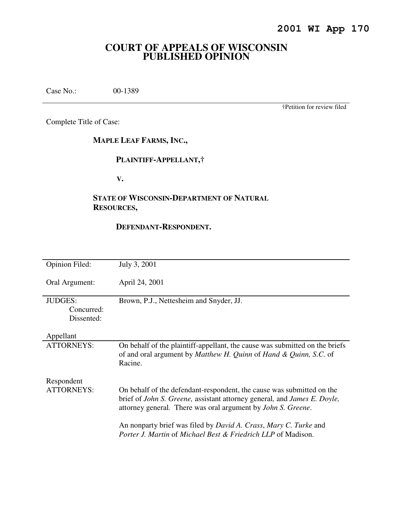# **COURT OF APPEALS OF WISCONSIN PUBLISHED OPINION**

Case No.: 00-1389

†Petition for review filed

Complete Title of Case:

**MAPLE LEAF FARMS, INC.,** 

## **PLAINTIFF-APPELLANT,†**

 **V.** 

# **STATE OF WISCONSIN-DEPARTMENT OF NATURAL RESOURCES,**

## **DEFENDANT-RESPONDENT.**

| <b>Opinion Filed:</b> | July 3, 2001                                                                |
|-----------------------|-----------------------------------------------------------------------------|
|                       |                                                                             |
| Oral Argument:        | April 24, 2001                                                              |
|                       |                                                                             |
| <b>JUDGES:</b>        | Brown, P.J., Nettesheim and Snyder, JJ.                                     |
| Concurred:            |                                                                             |
| Dissented:            |                                                                             |
|                       |                                                                             |
| Appellant             |                                                                             |
| <b>ATTORNEYS:</b>     | On behalf of the plaintiff-appellant, the cause was submitted on the briefs |
|                       | of and oral argument by Matthew H. Quinn of Hand & Quinn, S.C. of           |
|                       | Racine.                                                                     |
|                       |                                                                             |
| Respondent            |                                                                             |
| <b>ATTORNEYS:</b>     | On behalf of the defendant-respondent, the cause was submitted on the       |
|                       | brief of John S. Greene, assistant attorney general, and James E. Doyle,    |
|                       | attorney general. There was oral argument by <i>John S. Greene.</i>         |
|                       | An nonparty brief was filed by David A. Crass, Mary C. Turke and            |
|                       | Porter J. Martin of Michael Best & Friedrich LLP of Madison.                |
|                       |                                                                             |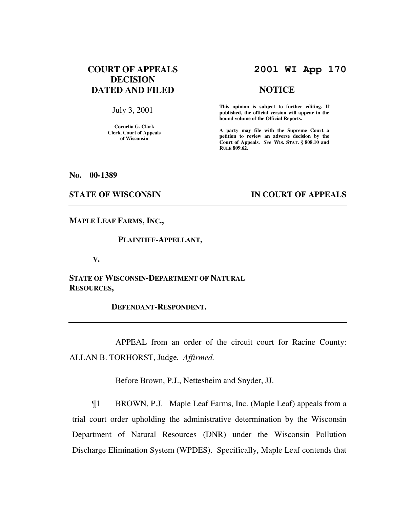# **COURT OF APPEALS DECISION DATED AND FILED**

July 3, 2001

**Cornelia G. Clark Clerk, Court of Appeals of Wisconsin** 

# **2001 WI App 170**

#### **NOTICE**

**This opinion is subject to further editing. If published, the official version will appear in the bound volume of the Official Reports.**

**A party may file with the Supreme Court a petition to review an adverse decision by the Court of Appeals.** *See* **WIS. STAT. § 808.10 and RULE 809.62.** 

**No. 00-1389** 

### **STATE OF WISCONSIN BY IN COURT OF APPEALS**

**MAPLE LEAF FARMS, INC.,** 

 **PLAINTIFF-APPELLANT,** 

 **V.** 

**STATE OF WISCONSIN-DEPARTMENT OF NATURAL RESOURCES,** 

 **DEFENDANT-RESPONDENT.** 

 APPEAL from an order of the circuit court for Racine County: ALLAN B. TORHORST, Judge*. Affirmed.*

Before Brown, P.J., Nettesheim and Snyder, JJ.

¶1 BROWN, P.J. Maple Leaf Farms, Inc. (Maple Leaf) appeals from a trial court order upholding the administrative determination by the Wisconsin Department of Natural Resources (DNR) under the Wisconsin Pollution Discharge Elimination System (WPDES). Specifically, Maple Leaf contends that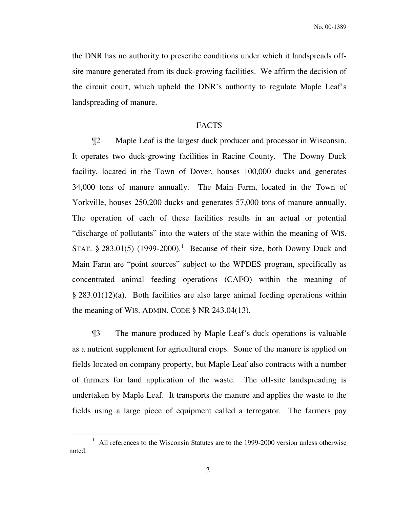No. 00-1389

the DNR has no authority to prescribe conditions under which it landspreads offsite manure generated from its duck-growing facilities. We affirm the decision of the circuit court, which upheld the DNR's authority to regulate Maple Leaf's landspreading of manure.

## FACTS

 ¶2 Maple Leaf is the largest duck producer and processor in Wisconsin. It operates two duck-growing facilities in Racine County. The Downy Duck facility, located in the Town of Dover, houses 100,000 ducks and generates 34,000 tons of manure annually. The Main Farm, located in the Town of Yorkville, houses 250,200 ducks and generates 57,000 tons of manure annually. The operation of each of these facilities results in an actual or potential "discharge of pollutants" into the waters of the state within the meaning of WIS. STAT.  $\S 283.01(5)$  (1999-2000).<sup>1</sup> Because of their size, both Downy Duck and Main Farm are "point sources" subject to the WPDES program, specifically as concentrated animal feeding operations (CAFO) within the meaning of § 283.01(12)(a). Both facilities are also large animal feeding operations within the meaning of WIS. ADMIN. CODE  $\S$  NR 243.04(13).

 ¶3 The manure produced by Maple Leaf's duck operations is valuable as a nutrient supplement for agricultural crops. Some of the manure is applied on fields located on company property, but Maple Leaf also contracts with a number of farmers for land application of the waste. The off-site landspreading is undertaken by Maple Leaf. It transports the manure and applies the waste to the fields using a large piece of equipment called a terregator. The farmers pay

<sup>&</sup>lt;sup>1</sup> All references to the Wisconsin Statutes are to the 1999-2000 version unless otherwise noted.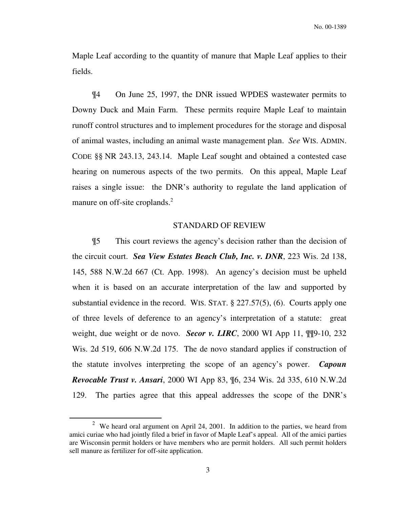Maple Leaf according to the quantity of manure that Maple Leaf applies to their fields.

 ¶4 On June 25, 1997, the DNR issued WPDES wastewater permits to Downy Duck and Main Farm. These permits require Maple Leaf to maintain runoff control structures and to implement procedures for the storage and disposal of animal wastes, including an animal waste management plan. *See* WIS. ADMIN. CODE §§ NR 243.13, 243.14. Maple Leaf sought and obtained a contested case hearing on numerous aspects of the two permits. On this appeal, Maple Leaf raises a single issue: the DNR's authority to regulate the land application of manure on off-site croplands.<sup>2</sup>

### STANDARD OF REVIEW

¶5 This court reviews the agency's decision rather than the decision of the circuit court. *Sea View Estates Beach Club, Inc. v. DNR*, 223 Wis. 2d 138, 145, 588 N.W.2d 667 (Ct. App. 1998). An agency's decision must be upheld when it is based on an accurate interpretation of the law and supported by substantial evidence in the record. WIS. STAT. § 227.57(5), (6). Courts apply one of three levels of deference to an agency's interpretation of a statute: great weight, due weight or de novo. *Secor v. LIRC*, 2000 WI App 11, ¶¶9-10, 232 Wis. 2d 519, 606 N.W.2d 175. The de novo standard applies if construction of the statute involves interpreting the scope of an agency's power. *Capoun Revocable Trust v. Ansari*, 2000 WI App 83, ¶6, 234 Wis. 2d 335, 610 N.W.2d 129. The parties agree that this appeal addresses the scope of the DNR's

<sup>&</sup>lt;sup>2</sup> We heard oral argument on April 24, 2001. In addition to the parties, we heard from amici curiae who had jointly filed a brief in favor of Maple Leaf's appeal. All of the amici parties are Wisconsin permit holders or have members who are permit holders. All such permit holders sell manure as fertilizer for off-site application.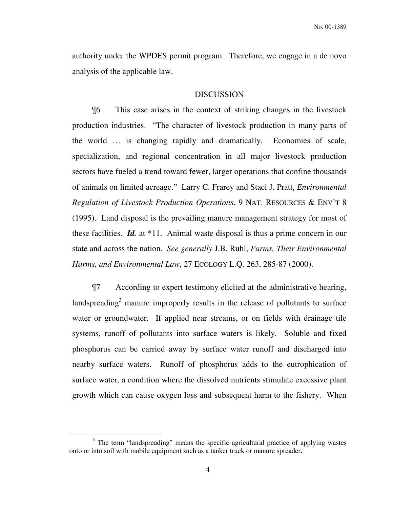authority under the WPDES permit program. Therefore, we engage in a de novo analysis of the applicable law.

#### DISCUSSION

 ¶6 This case arises in the context of striking changes in the livestock production industries. "The character of livestock production in many parts of the world … is changing rapidly and dramatically. Economies of scale, specialization, and regional concentration in all major livestock production sectors have fueled a trend toward fewer, larger operations that confine thousands of animals on limited acreage." Larry C. Frarey and Staci J. Pratt, *Environmental Regulation of Livestock Production Operations*, 9 NAT. RESOURCES & ENV'T 8 (1995). Land disposal is the prevailing manure management strategy for most of these facilities. *Id.* at \*11. Animal waste disposal is thus a prime concern in our state and across the nation. *See generally* J.B. Ruhl, *Farms, Their Environmental Harms, and Environmental Law*, 27 ECOLOGY L.Q. 263, 285-87 (2000).

¶7 According to expert testimony elicited at the administrative hearing, landspreading<sup>3</sup> manure improperly results in the release of pollutants to surface water or groundwater. If applied near streams, or on fields with drainage tile systems, runoff of pollutants into surface waters is likely. Soluble and fixed phosphorus can be carried away by surface water runoff and discharged into nearby surface waters. Runoff of phosphorus adds to the eutrophication of surface water, a condition where the dissolved nutrients stimulate excessive plant growth which can cause oxygen loss and subsequent harm to the fishery. When

<sup>&</sup>lt;sup>3</sup> The term "landspreading" means the specific agricultural practice of applying wastes onto or into soil with mobile equipment such as a tanker truck or manure spreader.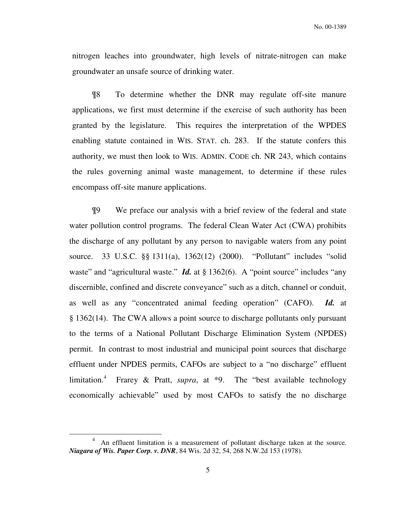nitrogen leaches into groundwater, high levels of nitrate-nitrogen can make groundwater an unsafe source of drinking water.

¶8 To determine whether the DNR may regulate off-site manure applications, we first must determine if the exercise of such authority has been granted by the legislature. This requires the interpretation of the WPDES enabling statute contained in WIS. STAT. ch. 283. If the statute confers this authority, we must then look to WIS. ADMIN. CODE ch. NR 243, which contains the rules governing animal waste management, to determine if these rules encompass off-site manure applications.

 ¶9 We preface our analysis with a brief review of the federal and state water pollution control programs. The federal Clean Water Act (CWA) prohibits the discharge of any pollutant by any person to navigable waters from any point source. 33 U.S.C. §§ 1311(a), 1362(12) (2000). "Pollutant" includes "solid waste" and "agricultural waste." *Id.* at § 1362(6). A "point source" includes "any discernible, confined and discrete conveyance" such as a ditch, channel or conduit, as well as any "concentrated animal feeding operation" (CAFO). *Id.* at § 1362(14). The CWA allows a point source to discharge pollutants only pursuant to the terms of a National Pollutant Discharge Elimination System (NPDES) permit. In contrast to most industrial and municipal point sources that discharge effluent under NPDES permits, CAFOs are subject to a "no discharge" effluent limitation.<sup>4</sup> Frarey & Pratt, *supra*, at \*9. The "best available technology economically achievable" used by most CAFOs to satisfy the no discharge

<sup>&</sup>lt;sup>4</sup> An effluent limitation is a measurement of pollutant discharge taken at the source. *Niagara of Wis. Paper Corp. v. DNR*, 84 Wis. 2d 32, 54, 268 N.W.2d 153 (1978).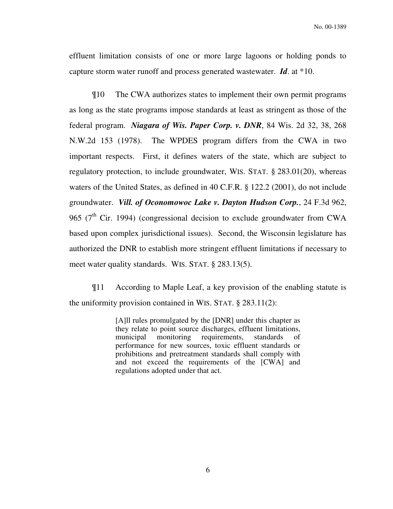effluent limitation consists of one or more large lagoons or holding ponds to capture storm water runoff and process generated wastewater. *Id*. at \*10.

¶10 The CWA authorizes states to implement their own permit programs as long as the state programs impose standards at least as stringent as those of the federal program. *Niagara of Wis. Paper Corp. v. DNR*, 84 Wis. 2d 32, 38, 268 N.W.2d 153 (1978). The WPDES program differs from the CWA in two important respects. First, it defines waters of the state, which are subject to regulatory protection, to include groundwater, WIS. STAT. § 283.01(20), whereas waters of the United States, as defined in 40 C.F.R. § 122.2 (2001), do not include groundwater. *Vill. of Oconomowoc Lake v. Dayton Hudson Corp.*, 24 F.3d 962, 965 ( $7<sup>th</sup>$  Cir. 1994) (congressional decision to exclude groundwater from CWA based upon complex jurisdictional issues). Second, the Wisconsin legislature has authorized the DNR to establish more stringent effluent limitations if necessary to meet water quality standards. WIS. STAT. § 283.13(5).

¶11 According to Maple Leaf, a key provision of the enabling statute is the uniformity provision contained in WIS. STAT. § 283.11(2):

> [A]ll rules promulgated by the [DNR] under this chapter as they relate to point source discharges, effluent limitations, municipal monitoring requirements, standards of performance for new sources, toxic effluent standards or prohibitions and pretreatment standards shall comply with and not exceed the requirements of the [CWA] and regulations adopted under that act.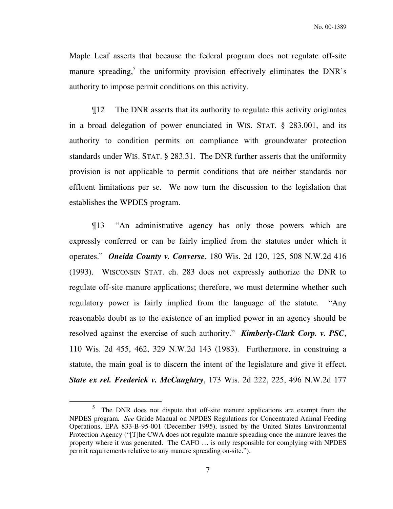Maple Leaf asserts that because the federal program does not regulate off-site manure spreading,<sup>5</sup> the uniformity provision effectively eliminates the DNR's authority to impose permit conditions on this activity.

 ¶12 The DNR asserts that its authority to regulate this activity originates in a broad delegation of power enunciated in WIS. STAT. § 283.001, and its authority to condition permits on compliance with groundwater protection standards under WIS. STAT. § 283.31. The DNR further asserts that the uniformity provision is not applicable to permit conditions that are neither standards nor effluent limitations per se. We now turn the discussion to the legislation that establishes the WPDES program.

 ¶13 "An administrative agency has only those powers which are expressly conferred or can be fairly implied from the statutes under which it operates." *Oneida County v. Converse*, 180 Wis. 2d 120, 125, 508 N.W.2d 416 (1993). WISCONSIN STAT. ch. 283 does not expressly authorize the DNR to regulate off-site manure applications; therefore, we must determine whether such regulatory power is fairly implied from the language of the statute. "Any reasonable doubt as to the existence of an implied power in an agency should be resolved against the exercise of such authority." *Kimberly-Clark Corp. v. PSC*, 110 Wis. 2d 455, 462, 329 N.W.2d 143 (1983). Furthermore, in construing a statute, the main goal is to discern the intent of the legislature and give it effect. *State ex rel. Frederick v. McCaughtry*, 173 Wis. 2d 222, 225, 496 N.W.2d 177

<sup>5</sup> The DNR does not dispute that off-site manure applications are exempt from the NPDES program. *See* Guide Manual on NPDES Regulations for Concentrated Animal Feeding Operations, EPA 833-B-95-001 (December 1995), issued by the United States Environmental Protection Agency ("[T]he CWA does not regulate manure spreading once the manure leaves the property where it was generated. The CAFO … is only responsible for complying with NPDES permit requirements relative to any manure spreading on-site.").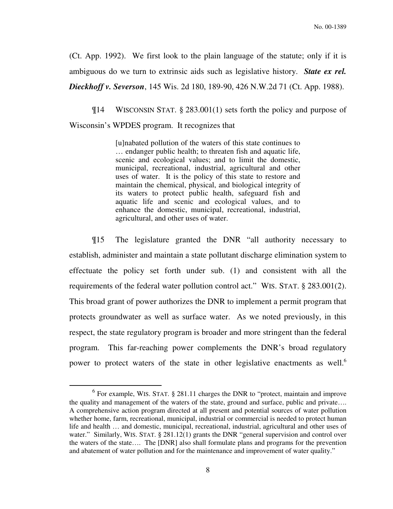(Ct. App. 1992). We first look to the plain language of the statute; only if it is ambiguous do we turn to extrinsic aids such as legislative history. *State ex rel. Dieckhoff v. Severson*, 145 Wis. 2d 180, 189-90, 426 N.W.2d 71 (Ct. App. 1988).

 ¶14 WISCONSIN STAT. § 283.001(1) sets forth the policy and purpose of Wisconsin's WPDES program. It recognizes that

> [u]nabated pollution of the waters of this state continues to … endanger public health; to threaten fish and aquatic life, scenic and ecological values; and to limit the domestic, municipal, recreational, industrial, agricultural and other uses of water. It is the policy of this state to restore and maintain the chemical, physical, and biological integrity of its waters to protect public health, safeguard fish and aquatic life and scenic and ecological values, and to enhance the domestic, municipal, recreational, industrial, agricultural, and other uses of water.

 ¶15 The legislature granted the DNR "all authority necessary to establish, administer and maintain a state pollutant discharge elimination system to effectuate the policy set forth under sub. (1) and consistent with all the requirements of the federal water pollution control act." WIS. STAT. § 283.001(2). This broad grant of power authorizes the DNR to implement a permit program that protects groundwater as well as surface water. As we noted previously, in this respect, the state regulatory program is broader and more stringent than the federal program. This far-reaching power complements the DNR's broad regulatory power to protect waters of the state in other legislative enactments as well.<sup>6</sup>

 $<sup>6</sup>$  For example, WIS. STAT.  $§$  281.11 charges the DNR to "protect, maintain and improve</sup> the quality and management of the waters of the state, ground and surface, public and private…. A comprehensive action program directed at all present and potential sources of water pollution whether home, farm, recreational, municipal, industrial or commercial is needed to protect human life and health … and domestic, municipal, recreational, industrial, agricultural and other uses of water." Similarly, WIS. STAT. § 281.12(1) grants the DNR "general supervision and control over the waters of the state…. The [DNR] also shall formulate plans and programs for the prevention and abatement of water pollution and for the maintenance and improvement of water quality."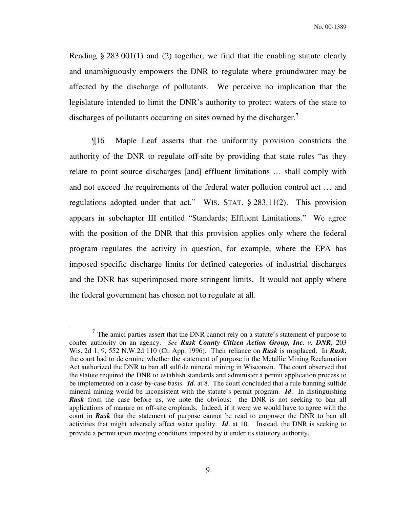Reading § 283.001(1) and (2) together, we find that the enabling statute clearly and unambiguously empowers the DNR to regulate where groundwater may be affected by the discharge of pollutants. We perceive no implication that the legislature intended to limit the DNR's authority to protect waters of the state to discharges of pollutants occurring on sites owned by the discharger.<sup>7</sup>

 ¶16 Maple Leaf asserts that the uniformity provision constricts the authority of the DNR to regulate off-site by providing that state rules "as they relate to point source discharges [and] effluent limitations … shall comply with and not exceed the requirements of the federal water pollution control act … and regulations adopted under that act." WIS. STAT. § 283.11(2). This provision appears in subchapter III entitled "Standards; Effluent Limitations." We agree with the position of the DNR that this provision applies only where the federal program regulates the activity in question, for example, where the EPA has imposed specific discharge limits for defined categories of industrial discharges and the DNR has superimposed more stringent limits. It would not apply where the federal government has chosen not to regulate at all.

 $<sup>7</sup>$  The amici parties assert that the DNR cannot rely on a statute's statement of purpose to</sup> confer authority on an agency. *See Rusk County Citizen Action Group, Inc. v. DNR*, 203 Wis. 2d 1, 9, 552 N.W.2d 110 (Ct. App. 1996). Their reliance on *Rusk* is misplaced. In *Rusk*, the court had to determine whether the statement of purpose in the Metallic Mining Reclamation Act authorized the DNR to ban all sulfide mineral mining in Wisconsin. The court observed that the statute required the DNR to establish standards and administer a permit application process to be implemented on a case-by-case basis. *Id.* at 8. The court concluded that a rule banning sulfide mineral mining would be inconsistent with the statute's permit program. *Id*. In distinguishing **Rusk** from the case before us, we note the obvious: the DNR is not seeking to ban all applications of manure on off-site croplands. Indeed, if it were we would have to agree with the court in *Rusk* that the statement of purpose cannot be read to empower the DNR to ban all activities that might adversely affect water quality. *Id*. at 10. Instead, the DNR is seeking to provide a permit upon meeting conditions imposed by it under its statutory authority.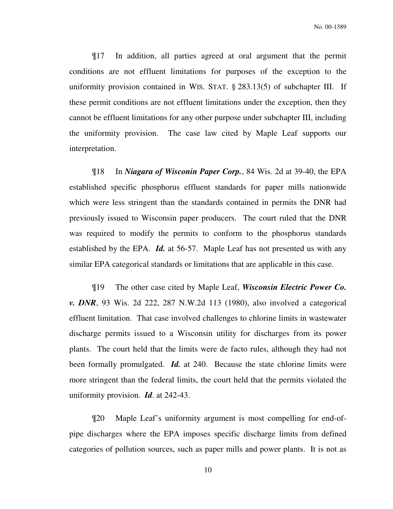¶17 In addition, all parties agreed at oral argument that the permit conditions are not effluent limitations for purposes of the exception to the uniformity provision contained in WIS. STAT. § 283.13(5) of subchapter III. If these permit conditions are not effluent limitations under the exception, then they cannot be effluent limitations for any other purpose under subchapter III, including the uniformity provision. The case law cited by Maple Leaf supports our interpretation.

 ¶18 In *Niagara of Wisconin Paper Corp.*, 84 Wis. 2d at 39-40, the EPA established specific phosphorus effluent standards for paper mills nationwide which were less stringent than the standards contained in permits the DNR had previously issued to Wisconsin paper producers. The court ruled that the DNR was required to modify the permits to conform to the phosphorus standards established by the EPA. *Id.* at 56-57. Maple Leaf has not presented us with any similar EPA categorical standards or limitations that are applicable in this case.

 ¶19 The other case cited by Maple Leaf, *Wisconsin Electric Power Co. v. DNR*, 93 Wis. 2d 222, 287 N.W.2d 113 (1980), also involved a categorical effluent limitation. That case involved challenges to chlorine limits in wastewater discharge permits issued to a Wisconsin utility for discharges from its power plants. The court held that the limits were de facto rules, although they had not been formally promulgated. *Id.* at 240. Because the state chlorine limits were more stringent than the federal limits, the court held that the permits violated the uniformity provision. *Id*. at 242-43.

 ¶20 Maple Leaf's uniformity argument is most compelling for end-ofpipe discharges where the EPA imposes specific discharge limits from defined categories of pollution sources, such as paper mills and power plants. It is not as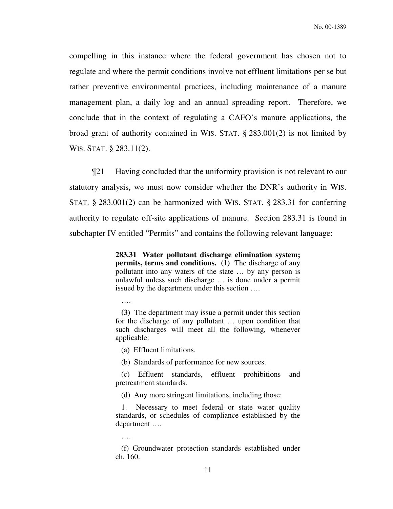compelling in this instance where the federal government has chosen not to regulate and where the permit conditions involve not effluent limitations per se but rather preventive environmental practices, including maintenance of a manure management plan, a daily log and an annual spreading report. Therefore, we conclude that in the context of regulating a CAFO's manure applications, the broad grant of authority contained in WIS. STAT. § 283.001(2) is not limited by WIS. STAT. § 283.11(2).

¶21 Having concluded that the uniformity provision is not relevant to our statutory analysis, we must now consider whether the DNR's authority in WIS. STAT. § 283.001(2) can be harmonized with WIS. STAT. § 283.31 for conferring authority to regulate off-site applications of manure. Section 283.31 is found in subchapter IV entitled "Permits" and contains the following relevant language:

> **283.31 Water pollutant discharge elimination system; permits, terms and conditions.** (1) The discharge of any pollutant into any waters of the state … by any person is unlawful unless such discharge … is done under a permit issued by the department under this section ….

….

 **(3)** The department may issue a permit under this section for the discharge of any pollutant … upon condition that such discharges will meet all the following, whenever applicable:

(a) Effluent limitations.

(b) Standards of performance for new sources.

(c) Effluent standards, effluent prohibitions and pretreatment standards.

(d) Any more stringent limitations, including those:

 1. Necessary to meet federal or state water quality standards, or schedules of compliance established by the department ….

….

(f) Groundwater protection standards established under ch. 160.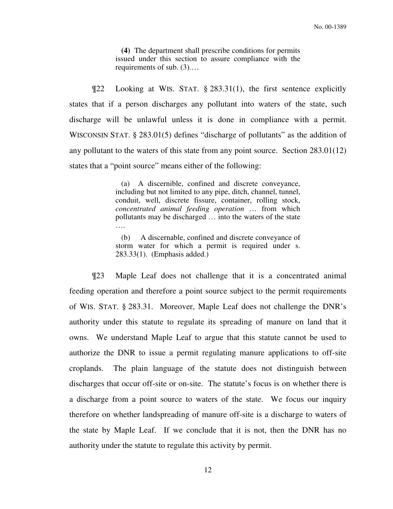**(4)** The department shall prescribe conditions for permits issued under this section to assure compliance with the requirements of sub. (3).…

¶22 Looking at WIS. STAT. § 283.31(1), the first sentence explicitly states that if a person discharges any pollutant into waters of the state, such discharge will be unlawful unless it is done in compliance with a permit. WISCONSIN STAT. § 283.01(5) defines "discharge of pollutants" as the addition of any pollutant to the waters of this state from any point source. Section 283.01(12) states that a "point source" means either of the following:

> (a) A discernible, confined and discrete conveyance, including but not limited to any pipe, ditch, channel, tunnel, conduit, well, discrete fissure, container, rolling stock, *concentrated animal feeding operation* … from which pollutants may be discharged … into the waters of the state ….

> (b) A discernable, confined and discrete conveyance of storm water for which a permit is required under s. 283.33(1). (Emphasis added.)

¶23 Maple Leaf does not challenge that it is a concentrated animal feeding operation and therefore a point source subject to the permit requirements of WIS. STAT. § 283.31. Moreover, Maple Leaf does not challenge the DNR's authority under this statute to regulate its spreading of manure on land that it owns. We understand Maple Leaf to argue that this statute cannot be used to authorize the DNR to issue a permit regulating manure applications to off-site croplands. The plain language of the statute does not distinguish between discharges that occur off-site or on-site. The statute's focus is on whether there is a discharge from a point source to waters of the state. We focus our inquiry therefore on whether landspreading of manure off-site is a discharge to waters of the state by Maple Leaf. If we conclude that it is not, then the DNR has no authority under the statute to regulate this activity by permit.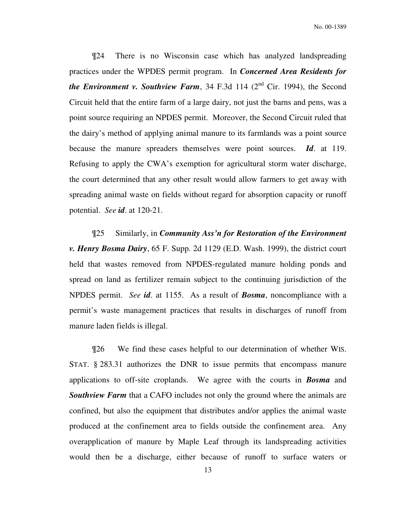¶24 There is no Wisconsin case which has analyzed landspreading practices under the WPDES permit program. In *Concerned Area Residents for the Environment v. Southview Farm*, 34 F.3d 114  $(2^{nd}$  Cir. 1994), the Second Circuit held that the entire farm of a large dairy, not just the barns and pens, was a point source requiring an NPDES permit. Moreover, the Second Circuit ruled that the dairy's method of applying animal manure to its farmlands was a point source because the manure spreaders themselves were point sources. *Id*. at 119. Refusing to apply the CWA's exemption for agricultural storm water discharge, the court determined that any other result would allow farmers to get away with spreading animal waste on fields without regard for absorption capacity or runoff potential. *See id*. at 120-21.

¶25 Similarly, in *Community Ass'n for Restoration of the Environment v. Henry Bosma Dairy*, 65 F. Supp. 2d 1129 (E.D. Wash. 1999), the district court held that wastes removed from NPDES-regulated manure holding ponds and spread on land as fertilizer remain subject to the continuing jurisdiction of the NPDES permit. *See id*. at 1155. As a result of *Bosma*, noncompliance with a permit's waste management practices that results in discharges of runoff from manure laden fields is illegal.

¶26 We find these cases helpful to our determination of whether WIS. STAT. § 283.31 authorizes the DNR to issue permits that encompass manure applications to off-site croplands. We agree with the courts in *Bosma* and *Southview Farm* that a CAFO includes not only the ground where the animals are confined, but also the equipment that distributes and/or applies the animal waste produced at the confinement area to fields outside the confinement area. Any overapplication of manure by Maple Leaf through its landspreading activities would then be a discharge, either because of runoff to surface waters or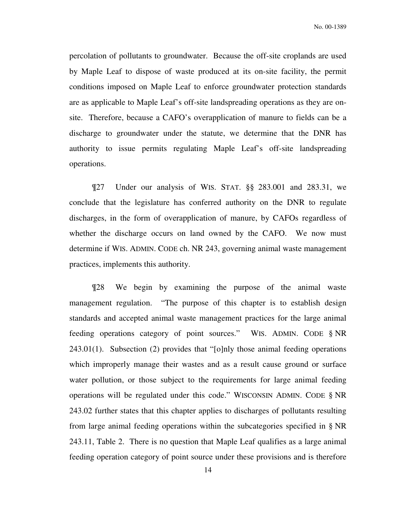percolation of pollutants to groundwater. Because the off-site croplands are used by Maple Leaf to dispose of waste produced at its on-site facility, the permit conditions imposed on Maple Leaf to enforce groundwater protection standards are as applicable to Maple Leaf's off-site landspreading operations as they are onsite. Therefore, because a CAFO's overapplication of manure to fields can be a discharge to groundwater under the statute, we determine that the DNR has authority to issue permits regulating Maple Leaf's off-site landspreading operations.

¶27 Under our analysis of WIS. STAT. §§ 283.001 and 283.31, we conclude that the legislature has conferred authority on the DNR to regulate discharges, in the form of overapplication of manure, by CAFOs regardless of whether the discharge occurs on land owned by the CAFO. We now must determine if WIS. ADMIN. CODE ch. NR 243, governing animal waste management practices, implements this authority.

¶28 We begin by examining the purpose of the animal waste management regulation. "The purpose of this chapter is to establish design standards and accepted animal waste management practices for the large animal feeding operations category of point sources." WIS. ADMIN. CODE § NR 243.01(1). Subsection (2) provides that "[o]nly those animal feeding operations which improperly manage their wastes and as a result cause ground or surface water pollution, or those subject to the requirements for large animal feeding operations will be regulated under this code." WISCONSIN ADMIN. CODE § NR 243.02 further states that this chapter applies to discharges of pollutants resulting from large animal feeding operations within the subcategories specified in § NR 243.11, Table 2. There is no question that Maple Leaf qualifies as a large animal feeding operation category of point source under these provisions and is therefore

14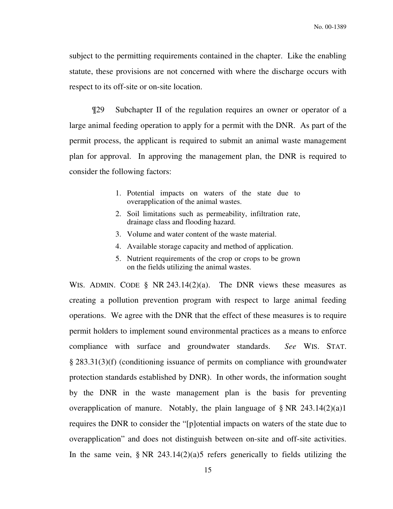subject to the permitting requirements contained in the chapter. Like the enabling statute, these provisions are not concerned with where the discharge occurs with respect to its off-site or on-site location.

¶29 Subchapter II of the regulation requires an owner or operator of a large animal feeding operation to apply for a permit with the DNR. As part of the permit process, the applicant is required to submit an animal waste management plan for approval. In approving the management plan, the DNR is required to consider the following factors:

- 1. Potential impacts on waters of the state due to overapplication of the animal wastes.
- 2. Soil limitations such as permeability, infiltration rate, drainage class and flooding hazard.
- 3. Volume and water content of the waste material.
- 4. Available storage capacity and method of application.
- 5. Nutrient requirements of the crop or crops to be grown on the fields utilizing the animal wastes.

WIS. ADMIN. CODE § NR 243.14(2)(a). The DNR views these measures as creating a pollution prevention program with respect to large animal feeding operations. We agree with the DNR that the effect of these measures is to require permit holders to implement sound environmental practices as a means to enforce compliance with surface and groundwater standards. *See* WIS. STAT. § 283.31(3)(f) (conditioning issuance of permits on compliance with groundwater protection standards established by DNR). In other words, the information sought by the DNR in the waste management plan is the basis for preventing overapplication of manure. Notably, the plain language of  $\S$  NR 243.14(2)(a)1 requires the DNR to consider the "[p]otential impacts on waters of the state due to overapplication" and does not distinguish between on-site and off-site activities. In the same vein,  $\S$  NR 243.14(2)(a)5 refers generically to fields utilizing the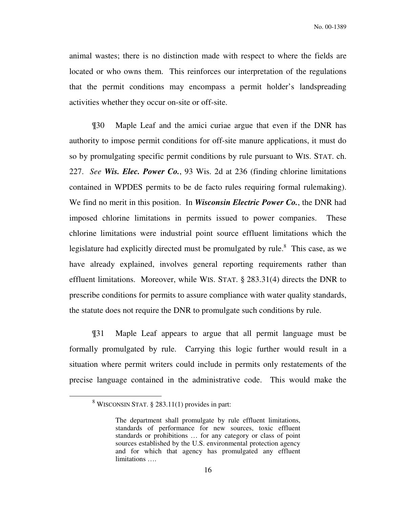animal wastes; there is no distinction made with respect to where the fields are located or who owns them. This reinforces our interpretation of the regulations that the permit conditions may encompass a permit holder's landspreading activities whether they occur on-site or off-site.

¶30 Maple Leaf and the amici curiae argue that even if the DNR has authority to impose permit conditions for off-site manure applications, it must do so by promulgating specific permit conditions by rule pursuant to WIS. STAT. ch. 227. *See Wis. Elec. Power Co.*, 93 Wis. 2d at 236 (finding chlorine limitations contained in WPDES permits to be de facto rules requiring formal rulemaking). We find no merit in this position. In *Wisconsin Electric Power Co.*, the DNR had imposed chlorine limitations in permits issued to power companies. These chlorine limitations were industrial point source effluent limitations which the legislature had explicitly directed must be promulgated by rule.<sup>8</sup> This case, as we have already explained, involves general reporting requirements rather than effluent limitations. Moreover, while WIS. STAT. § 283.31(4) directs the DNR to prescribe conditions for permits to assure compliance with water quality standards, the statute does not require the DNR to promulgate such conditions by rule.

 ¶31 Maple Leaf appears to argue that all permit language must be formally promulgated by rule. Carrying this logic further would result in a situation where permit writers could include in permits only restatements of the precise language contained in the administrative code. This would make the

<sup>&</sup>lt;sup>8</sup> WISCONSIN STAT. § 283.11(1) provides in part:

The department shall promulgate by rule effluent limitations, standards of performance for new sources, toxic effluent standards or prohibitions … for any category or class of point sources established by the U.S. environmental protection agency and for which that agency has promulgated any effluent limitations ….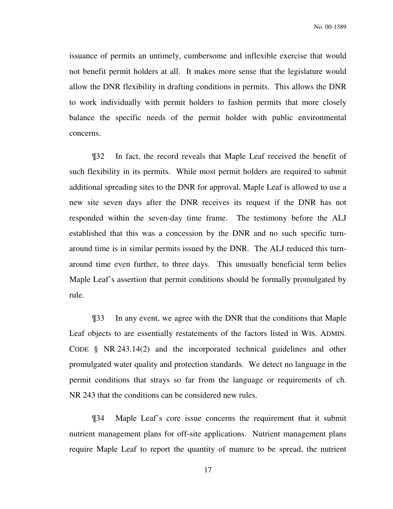issuance of permits an untimely, cumbersome and inflexible exercise that would not benefit permit holders at all. It makes more sense that the legislature would allow the DNR flexibility in drafting conditions in permits. This allows the DNR to work individually with permit holders to fashion permits that more closely balance the specific needs of the permit holder with public environmental concerns.

 ¶32 In fact, the record reveals that Maple Leaf received the benefit of such flexibility in its permits. While most permit holders are required to submit additional spreading sites to the DNR for approval, Maple Leaf is allowed to use a new site seven days after the DNR receives its request if the DNR has not responded within the seven-day time frame. The testimony before the ALJ established that this was a concession by the DNR and no such specific turnaround time is in similar permits issued by the DNR. The ALJ reduced this turnaround time even further, to three days. This unusually beneficial term belies Maple Leaf's assertion that permit conditions should be formally promulgated by rule.

 ¶33 In any event, we agree with the DNR that the conditions that Maple Leaf objects to are essentially restatements of the factors listed in WIS. ADMIN. CODE § NR 243.14(2) and the incorporated technical guidelines and other promulgated water quality and protection standards. We detect no language in the permit conditions that strays so far from the language or requirements of ch. NR 243 that the conditions can be considered new rules.

 ¶34 Maple Leaf's core issue concerns the requirement that it submit nutrient management plans for off-site applications. Nutrient management plans require Maple Leaf to report the quantity of manure to be spread, the nutrient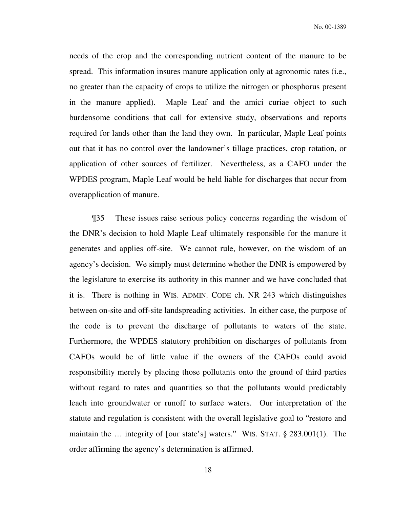needs of the crop and the corresponding nutrient content of the manure to be spread. This information insures manure application only at agronomic rates (i.e., no greater than the capacity of crops to utilize the nitrogen or phosphorus present in the manure applied). Maple Leaf and the amici curiae object to such burdensome conditions that call for extensive study, observations and reports required for lands other than the land they own. In particular, Maple Leaf points out that it has no control over the landowner's tillage practices, crop rotation, or application of other sources of fertilizer. Nevertheless, as a CAFO under the WPDES program, Maple Leaf would be held liable for discharges that occur from overapplication of manure.

 ¶35 These issues raise serious policy concerns regarding the wisdom of the DNR's decision to hold Maple Leaf ultimately responsible for the manure it generates and applies off-site. We cannot rule, however, on the wisdom of an agency's decision. We simply must determine whether the DNR is empowered by the legislature to exercise its authority in this manner and we have concluded that it is. There is nothing in WIS. ADMIN. CODE ch. NR 243 which distinguishes between on-site and off-site landspreading activities. In either case, the purpose of the code is to prevent the discharge of pollutants to waters of the state. Furthermore, the WPDES statutory prohibition on discharges of pollutants from CAFOs would be of little value if the owners of the CAFOs could avoid responsibility merely by placing those pollutants onto the ground of third parties without regard to rates and quantities so that the pollutants would predictably leach into groundwater or runoff to surface waters. Our interpretation of the statute and regulation is consistent with the overall legislative goal to "restore and maintain the … integrity of [our state's] waters." WIS. STAT. § 283.001(1). The order affirming the agency's determination is affirmed.